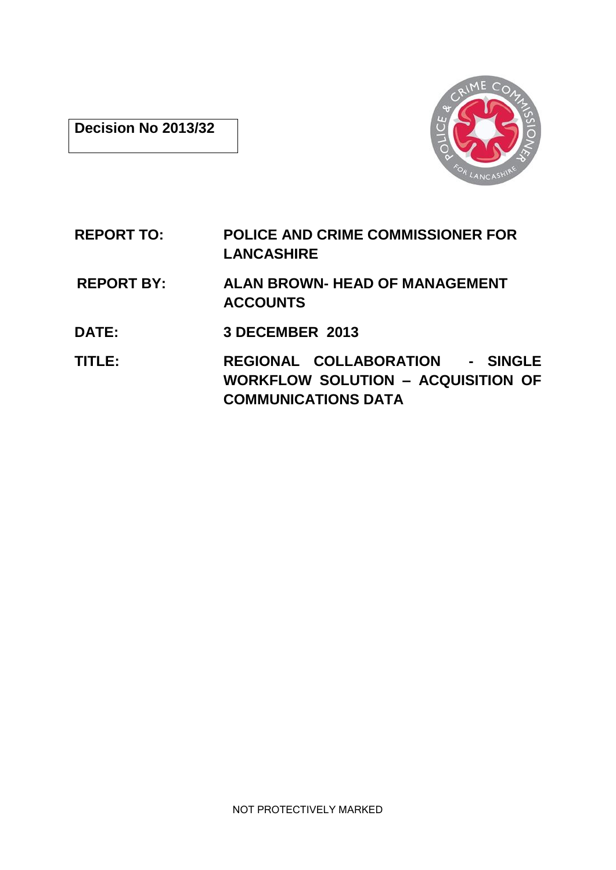## **Decision No 2013/32**



# **REPORT TO: POLICE AND CRIME COMMISSIONER FOR LANCASHIRE**

- **REPORT BY: ALAN BROWN- HEAD OF MANAGEMENT ACCOUNTS**
- **DATE: 3 DECEMBER 2013**
- **TITLE: REGIONAL COLLABORATION - SINGLE WORKFLOW SOLUTION – ACQUISITION OF COMMUNICATIONS DATA**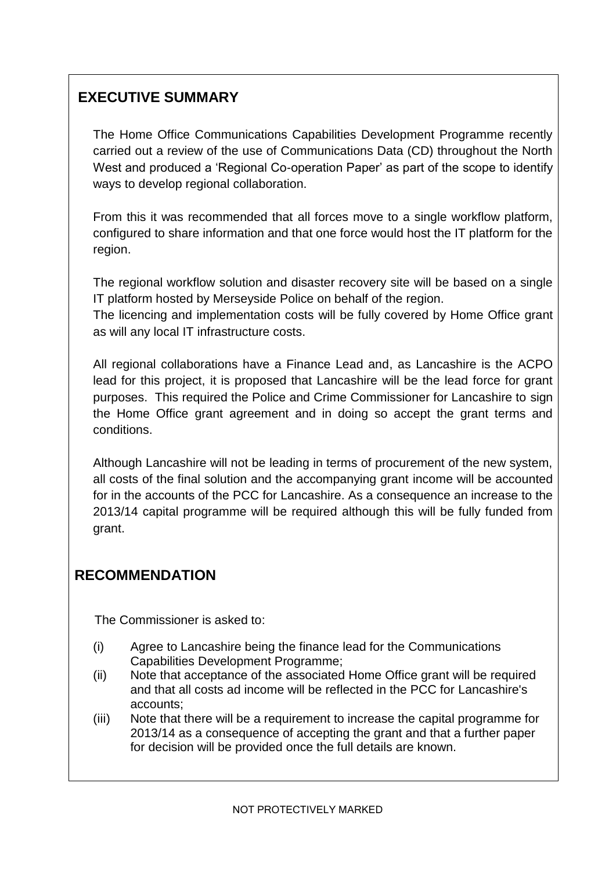## **EXECUTIVE SUMMARY**

The Home Office Communications Capabilities Development Programme recently carried out a review of the use of Communications Data (CD) throughout the North West and produced a 'Regional Co-operation Paper' as part of the scope to identify ways to develop regional collaboration.

From this it was recommended that all forces move to a single workflow platform, configured to share information and that one force would host the IT platform for the region.

The regional workflow solution and disaster recovery site will be based on a single IT platform hosted by Merseyside Police on behalf of the region.

The licencing and implementation costs will be fully covered by Home Office grant as will any local IT infrastructure costs.

All regional collaborations have a Finance Lead and, as Lancashire is the ACPO lead for this project, it is proposed that Lancashire will be the lead force for grant purposes. This required the Police and Crime Commissioner for Lancashire to sign the Home Office grant agreement and in doing so accept the grant terms and conditions.

Although Lancashire will not be leading in terms of procurement of the new system, all costs of the final solution and the accompanying grant income will be accounted for in the accounts of the PCC for Lancashire. As a consequence an increase to the 2013/14 capital programme will be required although this will be fully funded from grant.

## **RECOMMENDATION**

The Commissioner is asked to:

- (i) Agree to Lancashire being the finance lead for the Communications Capabilities Development Programme;
- (ii) Note that acceptance of the associated Home Office grant will be required and that all costs ad income will be reflected in the PCC for Lancashire's accounts;
- (iii) Note that there will be a requirement to increase the capital programme for 2013/14 as a consequence of accepting the grant and that a further paper for decision will be provided once the full details are known.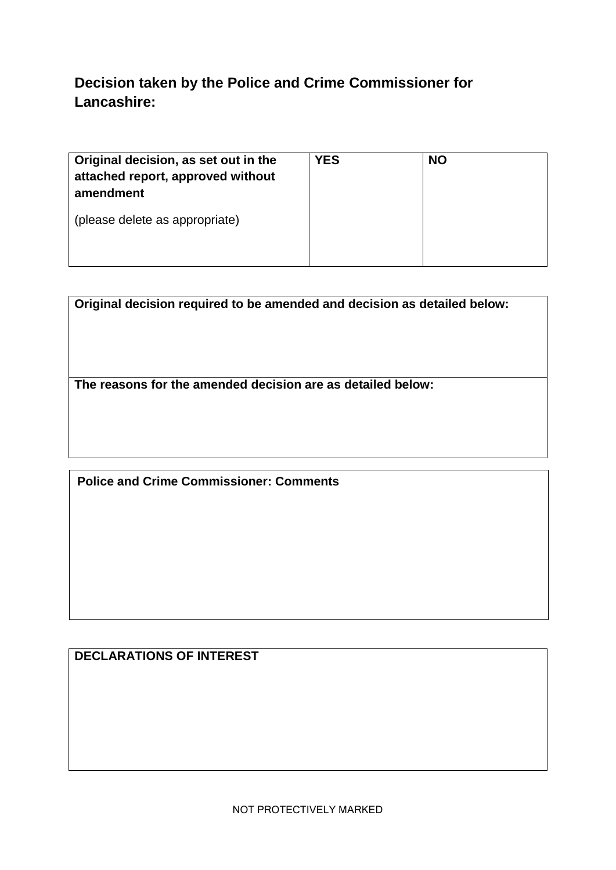# **Decision taken by the Police and Crime Commissioner for Lancashire:**

| Original decision, as set out in the<br>attached report, approved without<br>amendment | <b>YES</b> | <b>NO</b> |
|----------------------------------------------------------------------------------------|------------|-----------|
| (please delete as appropriate)                                                         |            |           |

| Original decision required to be amended and decision as detailed below: |  |
|--------------------------------------------------------------------------|--|
|                                                                          |  |
| The reasons for the amended decision are as detailed below:              |  |
|                                                                          |  |

**Police and Crime Commissioner: Comments**

# **DECLARATIONS OF INTEREST**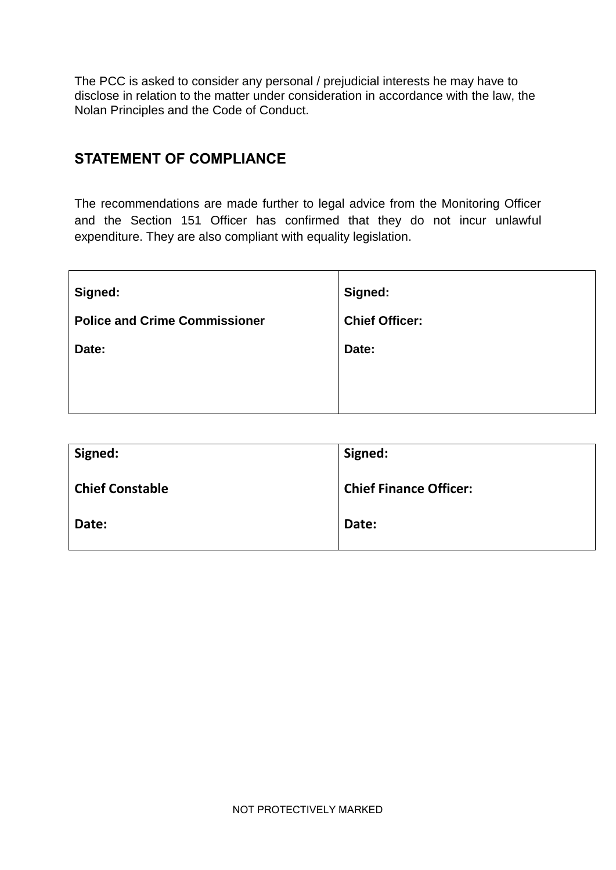The PCC is asked to consider any personal / prejudicial interests he may have to disclose in relation to the matter under consideration in accordance with the law, the Nolan Principles and the Code of Conduct.

## **STATEMENT OF COMPLIANCE**

The recommendations are made further to legal advice from the Monitoring Officer and the Section 151 Officer has confirmed that they do not incur unlawful expenditure. They are also compliant with equality legislation.

| Signed:                              | Signed:               |
|--------------------------------------|-----------------------|
| <b>Police and Crime Commissioner</b> | <b>Chief Officer:</b> |
| Date:                                | Date:                 |
|                                      |                       |
|                                      |                       |

| Signed:                | Signed:                       |
|------------------------|-------------------------------|
| <b>Chief Constable</b> | <b>Chief Finance Officer:</b> |
| Date:                  | Date:                         |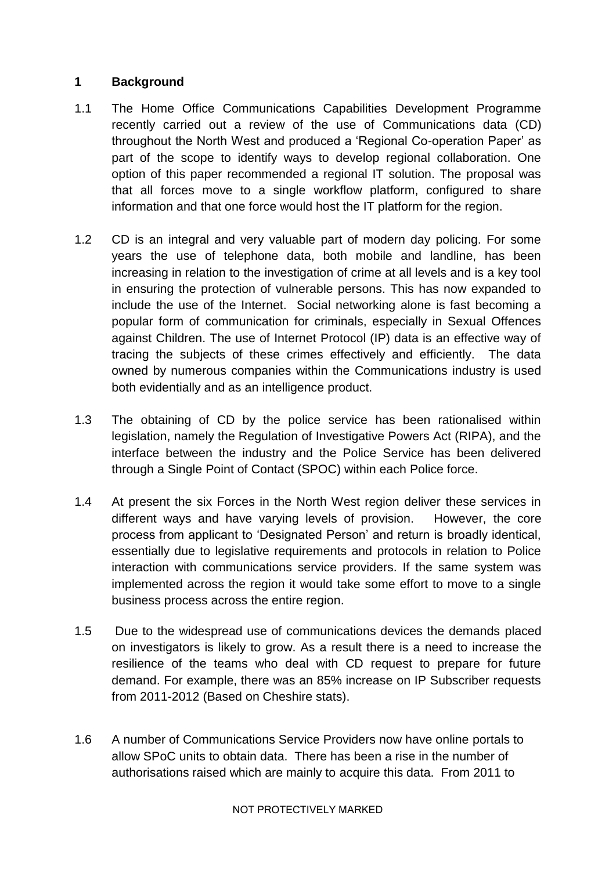#### **1 Background**

- 1.1 The Home Office Communications Capabilities Development Programme recently carried out a review of the use of Communications data (CD) throughout the North West and produced a 'Regional Co-operation Paper' as part of the scope to identify ways to develop regional collaboration. One option of this paper recommended a regional IT solution. The proposal was that all forces move to a single workflow platform, configured to share information and that one force would host the IT platform for the region.
- 1.2 CD is an integral and very valuable part of modern day policing. For some years the use of telephone data, both mobile and landline, has been increasing in relation to the investigation of crime at all levels and is a key tool in ensuring the protection of vulnerable persons. This has now expanded to include the use of the Internet. Social networking alone is fast becoming a popular form of communication for criminals, especially in Sexual Offences against Children. The use of Internet Protocol (IP) data is an effective way of tracing the subjects of these crimes effectively and efficiently. The data owned by numerous companies within the Communications industry is used both evidentially and as an intelligence product.
- 1.3 The obtaining of CD by the police service has been rationalised within legislation, namely the Regulation of Investigative Powers Act (RIPA), and the interface between the industry and the Police Service has been delivered through a Single Point of Contact (SPOC) within each Police force.
- 1.4 At present the six Forces in the North West region deliver these services in different ways and have varying levels of provision. However, the core process from applicant to 'Designated Person' and return is broadly identical, essentially due to legislative requirements and protocols in relation to Police interaction with communications service providers. If the same system was implemented across the region it would take some effort to move to a single business process across the entire region.
- 1.5 Due to the widespread use of communications devices the demands placed on investigators is likely to grow. As a result there is a need to increase the resilience of the teams who deal with CD request to prepare for future demand. For example, there was an 85% increase on IP Subscriber requests from 2011-2012 (Based on Cheshire stats).
- 1.6 A number of Communications Service Providers now have online portals to allow SPoC units to obtain data. There has been a rise in the number of authorisations raised which are mainly to acquire this data. From 2011 to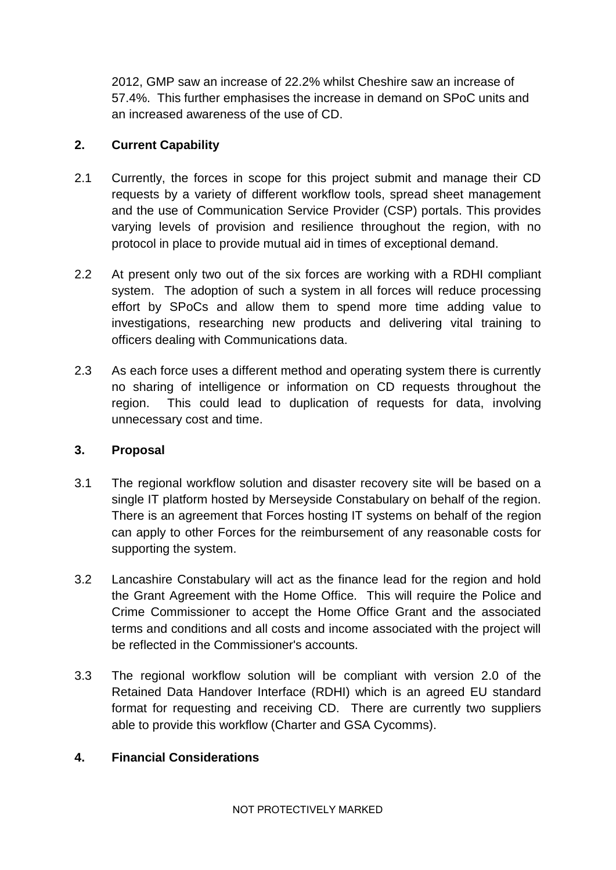2012, GMP saw an increase of 22.2% whilst Cheshire saw an increase of 57.4%. This further emphasises the increase in demand on SPoC units and an increased awareness of the use of CD.

### **2. Current Capability**

- 2.1 Currently, the forces in scope for this project submit and manage their CD requests by a variety of different workflow tools, spread sheet management and the use of Communication Service Provider (CSP) portals. This provides varying levels of provision and resilience throughout the region, with no protocol in place to provide mutual aid in times of exceptional demand.
- 2.2 At present only two out of the six forces are working with a RDHI compliant system. The adoption of such a system in all forces will reduce processing effort by SPoCs and allow them to spend more time adding value to investigations, researching new products and delivering vital training to officers dealing with Communications data.
- 2.3 As each force uses a different method and operating system there is currently no sharing of intelligence or information on CD requests throughout the region. This could lead to duplication of requests for data, involving unnecessary cost and time.

#### **3. Proposal**

- 3.1 The regional workflow solution and disaster recovery site will be based on a single IT platform hosted by Merseyside Constabulary on behalf of the region. There is an agreement that Forces hosting IT systems on behalf of the region can apply to other Forces for the reimbursement of any reasonable costs for supporting the system.
- 3.2 Lancashire Constabulary will act as the finance lead for the region and hold the Grant Agreement with the Home Office. This will require the Police and Crime Commissioner to accept the Home Office Grant and the associated terms and conditions and all costs and income associated with the project will be reflected in the Commissioner's accounts.
- 3.3 The regional workflow solution will be compliant with version 2.0 of the Retained Data Handover Interface (RDHI) which is an agreed EU standard format for requesting and receiving CD. There are currently two suppliers able to provide this workflow (Charter and GSA Cycomms).

## **4. Financial Considerations**